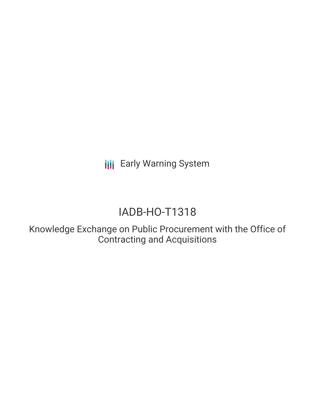**III** Early Warning System

# IADB-HO-T1318

Knowledge Exchange on Public Procurement with the Office of Contracting and Acquisitions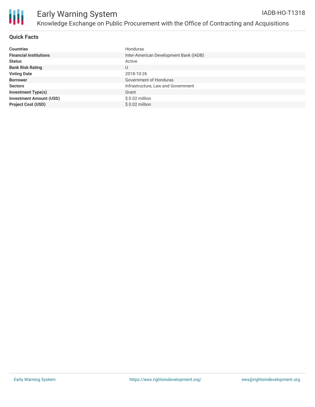

### **Quick Facts**

| <b>Countries</b>               | Honduras                               |
|--------------------------------|----------------------------------------|
| <b>Financial Institutions</b>  | Inter-American Development Bank (IADB) |
| <b>Status</b>                  | Active                                 |
| <b>Bank Risk Rating</b>        | U                                      |
| <b>Voting Date</b>             | 2018-10-26                             |
| <b>Borrower</b>                | Government of Honduras                 |
| <b>Sectors</b>                 | Infrastructure, Law and Government     |
| <b>Investment Type(s)</b>      | Grant                                  |
| <b>Investment Amount (USD)</b> | $$0.02$ million                        |
| <b>Project Cost (USD)</b>      | $$0.02$ million                        |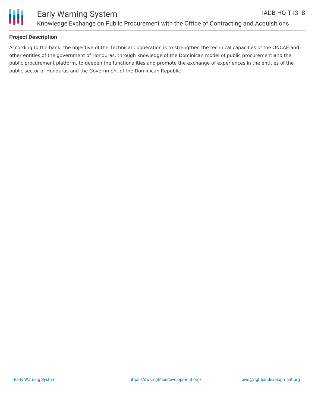

## **Project Description**

According to the bank, the objective of the Technical Cooperation is to strengthen the technical capacities of the ONCAE and other entities of the government of Honduras, through knowledge of the Dominican model of public procurement and the public procurement platform, to deepen the functionalities and promote the exchange of experiences in the entities of the public sector of Honduras and the Government of the Dominican Republic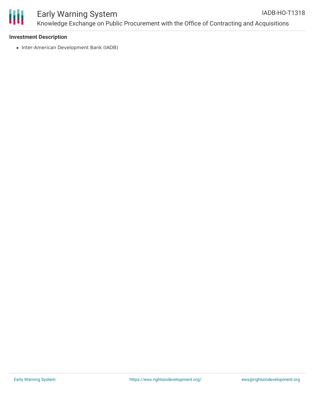

#### Early Warning System Knowledge Exchange on Public Procurement with the Office of Contracting and Acquisitions IADB-HO-T1318

#### **Investment Description**

• Inter-American Development Bank (IADB)